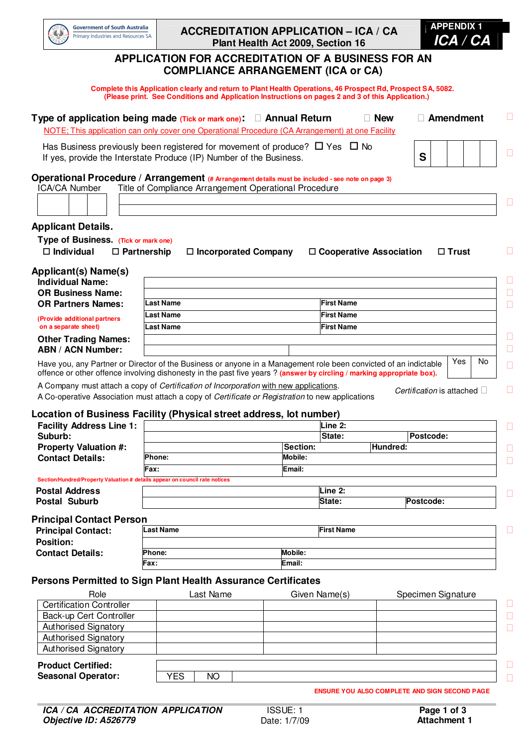

## **ACCREDITATION APPLICATION – ICA / CA Plant Health Act 2009, Section 16**



## **APPLICATION FOR ACCREDITATION OF A BUSINESS FOR AN COMPLIANCE ARRANGEMENT (ICA or CA)**

 **Complete this Application clearly and return to Plant Health Operations, 46 Prospect Rd, Prospect SA, 5082. (Please print. See Conditions and Application Instructions on pages 2 and 3 of this Application.)** 

| Type of application being made (Tick or mark one):<br>NOTE; This application can only cover one Operational Procedure (CA Arrangement) at one Facility                                                                                    |                                                       |                             | <b>Annual Return</b> |                   | <b>New</b>                                           |           | <b>Amendment</b>          |     |
|-------------------------------------------------------------------------------------------------------------------------------------------------------------------------------------------------------------------------------------------|-------------------------------------------------------|-----------------------------|----------------------|-------------------|------------------------------------------------------|-----------|---------------------------|-----|
| Has Business previously been registered for movement of produce? $\Box$ Yes $\Box$ No<br>If yes, provide the Interstate Produce (IP) Number of the Business.                                                                              |                                                       |                             |                      |                   |                                                      | S         |                           |     |
| Operational Procedure / Arrangement (# Arrangement details must be included - see note on page 3)                                                                                                                                         |                                                       |                             |                      |                   |                                                      |           |                           |     |
| ICA/CA Number                                                                                                                                                                                                                             | Title of Compliance Arrangement Operational Procedure |                             |                      |                   |                                                      |           |                           |     |
|                                                                                                                                                                                                                                           |                                                       |                             |                      |                   |                                                      |           |                           |     |
| <b>Applicant Details.</b>                                                                                                                                                                                                                 |                                                       |                             |                      |                   |                                                      |           |                           |     |
| Type of Business. (Tick or mark one)                                                                                                                                                                                                      |                                                       |                             |                      |                   |                                                      |           |                           |     |
| $\Box$ Individual                                                                                                                                                                                                                         | $\Box$ Partnership                                    | $\Box$ Incorporated Company |                      |                   | $\Box$ Cooperative Association                       |           | $\Box$ Trust              |     |
| Applicant(s) Name(s)                                                                                                                                                                                                                      |                                                       |                             |                      |                   |                                                      |           |                           |     |
| <b>Individual Name:</b>                                                                                                                                                                                                                   |                                                       |                             |                      |                   |                                                      |           |                           |     |
| <b>OR Business Name:</b>                                                                                                                                                                                                                  |                                                       |                             |                      |                   |                                                      |           |                           |     |
| <b>OR Partners Names:</b>                                                                                                                                                                                                                 | <b>Last Name</b>                                      |                             |                      | <b>First Name</b> |                                                      |           |                           |     |
| (Provide additional partners                                                                                                                                                                                                              | Last Name                                             |                             |                      | <b>First Name</b> |                                                      |           |                           |     |
| on a separate sheet)                                                                                                                                                                                                                      | <b>Last Name</b>                                      |                             |                      | <b>First Name</b> |                                                      |           |                           |     |
| <b>Other Trading Names:</b>                                                                                                                                                                                                               |                                                       |                             |                      |                   |                                                      |           |                           |     |
| <b>ABN / ACN Number:</b>                                                                                                                                                                                                                  |                                                       |                             |                      |                   |                                                      |           |                           | No. |
| Have you, any Partner or Director of the Business or anyone in a Management role been convicted of an indictable<br>offence or other offence involving dishonesty in the past five years? (answer by circling / marking appropriate box). |                                                       |                             |                      |                   |                                                      |           | Yes                       |     |
| A Company must attach a copy of Certification of Incorporation with new applications.                                                                                                                                                     |                                                       |                             |                      |                   |                                                      |           |                           |     |
| A Co-operative Association must attach a copy of Certificate or Registration to new applications                                                                                                                                          |                                                       |                             |                      |                   |                                                      |           | Certification is attached |     |
| Location of Business Facility (Physical street address, lot number)                                                                                                                                                                       |                                                       |                             |                      |                   |                                                      |           |                           |     |
| <b>Facility Address Line 1:</b>                                                                                                                                                                                                           |                                                       |                             |                      | Line 2:           |                                                      |           |                           |     |
| Suburb:                                                                                                                                                                                                                                   |                                                       |                             |                      | State:            |                                                      | Postcode: |                           |     |
| <b>Property Valuation #:</b>                                                                                                                                                                                                              |                                                       |                             | Section:             |                   | Hundred:                                             |           |                           |     |
| <b>Contact Details:</b>                                                                                                                                                                                                                   | Phone:                                                |                             | Mobile:              |                   |                                                      |           |                           |     |
|                                                                                                                                                                                                                                           | Fax:                                                  |                             | Email:               |                   |                                                      |           |                           |     |
| Section/Hundred/Property Valuation # details appear on council rate notices                                                                                                                                                               |                                                       |                             |                      |                   |                                                      |           |                           |     |
| <b>Postal Address</b>                                                                                                                                                                                                                     |                                                       |                             |                      | Line 2:           |                                                      |           |                           |     |
| Postal Suburb                                                                                                                                                                                                                             |                                                       |                             |                      | State:            |                                                      | Postcode: |                           |     |
| <b>Principal Contact Person</b>                                                                                                                                                                                                           |                                                       |                             |                      |                   |                                                      |           |                           |     |
| <b>Principal Contact:</b>                                                                                                                                                                                                                 | <b>Last Name</b>                                      |                             |                      | <b>First Name</b> |                                                      |           |                           |     |
| <b>Position:</b>                                                                                                                                                                                                                          |                                                       |                             |                      |                   |                                                      |           |                           |     |
| <b>Contact Details:</b>                                                                                                                                                                                                                   | Phone:                                                |                             | Mobile:              |                   |                                                      |           |                           |     |
|                                                                                                                                                                                                                                           | Fax :                                                 |                             | Email:               |                   |                                                      |           |                           |     |
| <b>Persons Permitted to Sign Plant Health Assurance Certificates</b>                                                                                                                                                                      |                                                       |                             |                      |                   |                                                      |           |                           |     |
|                                                                                                                                                                                                                                           |                                                       |                             |                      |                   |                                                      |           |                           |     |
| Role<br><b>Certification Controller</b>                                                                                                                                                                                                   |                                                       | Last Name                   |                      | Given Name(s)     |                                                      |           | Specimen Signature        |     |
| Back-up Cert Controller                                                                                                                                                                                                                   |                                                       |                             |                      |                   |                                                      |           |                           |     |
| <b>Authorised Signatory</b>                                                                                                                                                                                                               |                                                       |                             |                      |                   |                                                      |           |                           |     |
| Authorised Signatory                                                                                                                                                                                                                      |                                                       |                             |                      |                   |                                                      |           |                           |     |
| <b>Authorised Signatory</b>                                                                                                                                                                                                               |                                                       |                             |                      |                   |                                                      |           |                           |     |
|                                                                                                                                                                                                                                           |                                                       |                             |                      |                   |                                                      |           |                           |     |
| <b>Product Certified:</b>                                                                                                                                                                                                                 |                                                       |                             |                      |                   |                                                      |           |                           |     |
| <b>Seasonal Operator:</b>                                                                                                                                                                                                                 | <b>YES</b>                                            | <b>NO</b>                   |                      |                   |                                                      |           |                           |     |
|                                                                                                                                                                                                                                           |                                                       |                             |                      |                   | <b>ENSURE YOU ALSO COMPLETE AND SIGN SECOND PAGE</b> |           |                           |     |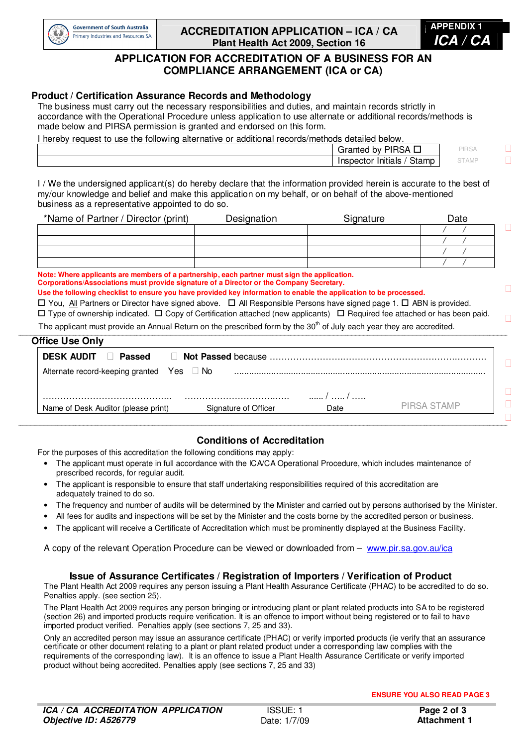

## **ACCREDITATION APPLICATION – ICA / CA Plant Health Act 2009, Section 16**



# **APPLICATION FOR ACCREDITATION OF A BUSINESS FOR AN COMPLIANCE ARRANGEMENT (ICA or CA)**

## **Product / Certification Assurance Records and Methodology**

The business must carry out the necessary responsibilities and duties, and maintain records strictly in accordance with the Operational Procedure unless application to use alternate or additional records/methods is made below and PIRSA permission is granted and endorsed on this form.

I hereby request to use the following alternative or additional records/methods detailed below.

| ാറി<br>rantec<br>b٧<br>15A<br>′  ⊢       | PIRS <sub>k</sub> |
|------------------------------------------|-------------------|
| <b>.</b><br>stamp<br>snector<br>Initials | o i Aivii         |
|                                          |                   |

I / We the undersigned applicant(s) do hereby declare that the information provided herein is accurate to the best of my/our knowledge and belief and make this application on my behalf, or on behalf of the above-mentioned business as a representative appointed to do so.

| *Name of Partner / Director (print) | Designation | Signature | Date |
|-------------------------------------|-------------|-----------|------|
|                                     |             |           |      |
|                                     |             |           |      |
|                                     |             |           |      |
|                                     |             |           |      |

**Note: Where applicants are members of a partnership, each partner must sign the application. Corporations/Associations must provide signature of a Director or the Company Secretary.** 

**Use the following checklist to ensure you have provided key information to enable the application to be processed.** 

 $\Box$  You, All Partners or Director have signed above.  $\Box$  All Responsible Persons have signed page 1.  $\Box$  ABN is provided.

 $\square$  Type of ownership indicated.  $\square$  Copy of Certification attached (new applicants)  $\square$  Required fee attached or has been paid. The applicant must provide an Annual Return on the prescribed form by the 30<sup>th</sup> of July each year they are accredited. **\_\_\_\_\_\_\_\_\_\_\_\_\_\_\_\_\_\_\_\_\_\_\_\_\_\_\_\_\_\_\_\_\_\_\_\_\_\_\_\_\_\_\_\_\_\_\_\_\_\_\_\_\_\_\_\_\_\_\_\_\_\_\_\_\_\_\_\_\_\_\_\_\_\_\_\_\_\_\_\_\_\_\_\_\_\_\_\_\_\_\_\_\_\_\_\_\_\_\_\_\_\_\_\_\_\_\_\_\_\_\_\_\_\_\_\_\_\_\_\_\_\_\_\_\_\_\_\_\_\_\_\_\_\_\_\_\_\_\_\_\_\_\_\_\_\_\_\_\_\_\_\_\_\_\_\_\_\_\_\_\_\_\_\_\_\_\_\_\_\_\_\_\_\_\_\_\_\_\_\_\_\_\_\_\_\_\_\_\_\_\_\_\_\_\_\_\_\_\_\_\_\_\_\_\_\_\_\_\_\_\_\_\_\_\_\_\_\_\_\_\_\_\_\_\_\_\_\_\_\_\_\_\_\_\_\_\_\_\_\_\_\_\_\_\_\_\_\_** 

### **Office Use Only**

| <b>UNICE USE ONLY</b>                |        |                      |       |             |
|--------------------------------------|--------|----------------------|-------|-------------|
| <b>DESK AUDIT</b>                    | Passed |                      |       |             |
| Alternate record-keeping granted Yes |        | No.                  |       |             |
|                                      |        |                      | . / / |             |
| Name of Desk Auditor (please print)  |        | Signature of Officer | Date  | PIRSA STAMP |
|                                      |        |                      |       |             |

## **\_\_\_\_\_\_\_\_\_\_\_\_\_\_\_\_\_\_\_\_\_\_\_\_\_\_\_\_\_\_\_\_\_\_\_\_\_\_\_\_\_\_\_\_\_\_\_\_\_\_\_\_\_\_\_\_\_\_\_\_\_\_\_\_\_\_\_\_\_\_\_\_\_\_\_\_\_\_\_\_\_\_\_\_\_\_\_\_\_\_\_\_\_\_\_\_\_\_\_\_\_\_\_\_\_\_\_\_\_\_\_\_\_\_\_\_\_\_\_\_\_\_\_\_\_\_\_\_\_\_\_\_\_\_\_\_\_\_\_\_\_\_\_\_\_\_\_\_\_\_\_\_\_\_\_\_\_\_\_\_\_\_\_\_\_\_\_\_\_\_\_\_\_\_\_\_\_\_\_\_\_\_\_\_\_\_\_\_\_\_\_\_\_\_\_\_\_\_\_\_\_\_\_\_\_\_\_\_\_\_\_\_\_\_\_\_\_\_\_\_\_\_\_\_\_\_\_\_\_\_\_\_\_\_\_\_\_\_\_\_\_\_\_\_\_\_\_\_ Conditions of Accreditation**

For the purposes of this accreditation the following conditions may apply:

- The applicant must operate in full accordance with the ICA/CA Operational Procedure, which includes maintenance of prescribed records, for regular audit.
- The applicant is responsible to ensure that staff undertaking responsibilities required of this accreditation are adequately trained to do so.
- The frequency and number of audits will be determined by the Minister and carried out by persons authorised by the Minister.
- All fees for audits and inspections will be set by the Minister and the costs borne by the accredited person or business.
- The applicant will receive a Certificate of Accreditation which must be prominently displayed at the Business Facility.

A copy of the relevant Operation Procedure can be viewed or downloaded from – www.pir.sa.gov.au/ica

#### **Issue of Assurance Certificates / Registration of Importers / Verification of Product**

The Plant Health Act 2009 requires any person issuing a Plant Health Assurance Certificate (PHAC) to be accredited to do so. Penalties apply. (see section 25).

The Plant Health Act 2009 requires any person bringing or introducing plant or plant related products into SA to be registered (section 26) and imported products require verification. It is an offence to import without being registered or to fail to have imported product verified. Penalties apply (see sections 7, 25 and 33).

Only an accredited person may issue an assurance certificate (PHAC) or verify imported products (ie verify that an assurance certificate or other document relating to a plant or plant related product under a corresponding law complies with the requirements of the corresponding law). It is an offence to issue a Plant Health Assurance Certificate or verify imported product without being accredited. Penalties apply (see sections 7, 25 and 33)